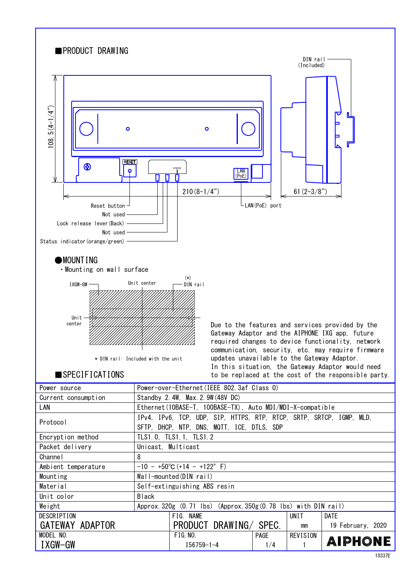

| Material           | Self-extinguishing ABS resin                                    |                        |             |          |                   |
|--------------------|-----------------------------------------------------------------|------------------------|-------------|----------|-------------------|
| Unit color         | <b>Black</b>                                                    |                        |             |          |                   |
| Weight             | Approx. 320g (0.71 lbs) (Approx. 350g (0.78 lbs) with DIN rail) |                        |             |          |                   |
| <b>DESCRIPTION</b> |                                                                 | FIG. NAME              |             | UNIT     | <b>DATE</b>       |
| GATEWAY ADAPTOR    |                                                                 | PRODUCT DRAWING/ SPEC. |             | mm       | 19 February, 2020 |
| MODEL NO.          |                                                                 | FIG. NO.               | <b>PAGE</b> | REVISION |                   |
| IXGW-GW            |                                                                 | $I56759 - 1 - 4$       | 1/4         |          | <b>AIPHONE</b>    |
|                    |                                                                 |                        |             |          | 10227E            |

Mounting Wall-mounted(DIN rail)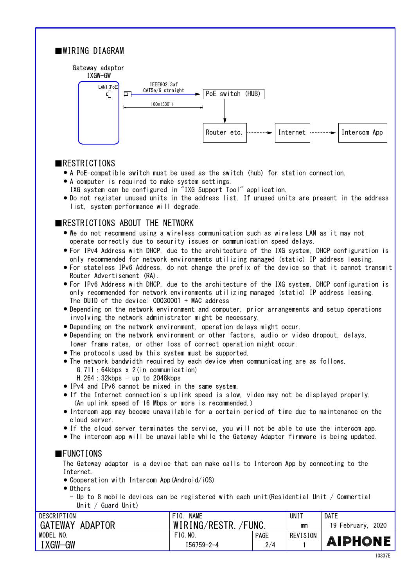

# ■RESTRICTIONS

- A PoE-compatible switch must be used as the switch (hub) for station connection. ●
- A computer is required to make system settings. ●
- IXG system can be configured in "IXG Support Tool" application. ● Do not register unused units in the address list. If unused units are present in the address list, system performance will degrade.

## ■RESTRICTIONS ABOUT THE NETWORK

- We do not recommend using a wireless communication such as wireless LAN as it may not operate correctly due to security issues or communication speed delays.
- For IPv4 Address with DHCP, due to the architecture of the IXG system, DHCP configuration is only recommended for network environments utilizing managed (static) IP address leasing.
- For stateless IPv6 Address, do not change the prefix of the device so that it cannot transmit Router Advertisement (RA).
- only recommended for network environments utilizing managed (static) IP address leasing. For IPv6 Address with DHCP, due to the architecture of the IXG system, DHCP configuration is ● The DUID of the device: 00030001 + MAC address
- Depending on the network environment and computer, prior arrangements and setup operations involving the network administrator might be necessary.
- Depending on the network environment, operation delays might occur. ●
- lower frame rates, or other loss of correct operation might occur. ● Depending on the network environment or other factors, audio or video dropout, delays,
- The protocols used by this system must be supported. ●
- The network bandwidth required by each device when communicating are as follows. G.711:64kbps x 2(in communication)
	- H. 264:  $32kbps up to 2048kbps$
- IPv4 and IPv6 cannot be mixed in the same system.
- If the Internet connection's uplink speed is slow, video may not be displayed properly. (An uplink speed of 16 Mbps or more is recommended.)
- Intercom app may become unavailable for a certain period of time due to maintenance on the cloud server.
- If the cloud server terminates the service, you will not be able to use the intercom app.
- The intercom app will be unavailable while the Gateway Adapter firmware is being updated.

#### ■FUNCTIONS

The Gateway adaptor is a device that can make calls to Intercom App by connecting to the Internet.

- Cooperation with Intercom App (Android/iOS)
- Others
	- Up to 8 mobile devices can be registered with each unit(Residential Unit / Commertial Unit / Guard Unit)

| DESCRIPTION         | <b>NAME</b><br>FIG.  |             | UNI 1    | <b>DATE</b>          |
|---------------------|----------------------|-------------|----------|----------------------|
| GATEWAY ADAPTOR     | WIRING/RESTR. /FUNC. |             | mm       | 2020<br>19 February. |
| <b>MODEL</b><br>NO. | FIG. N0.             | <b>PAGE</b> | REVISION |                      |
| IXGW-GW             | $156759 - 2 - 4$     | 2/4         |          | <b>AIPHONE</b>       |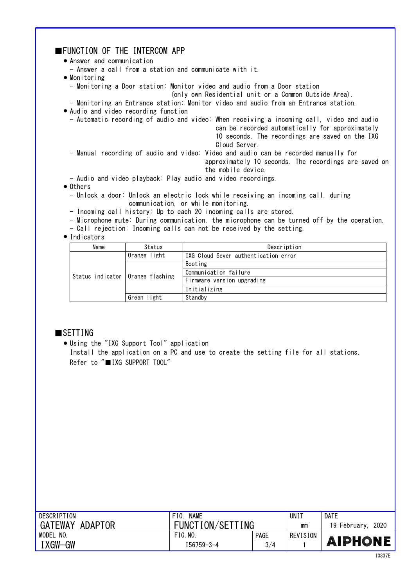| ■FUNCTION OF THE INTERCOM APP                                                                                   |
|-----------------------------------------------------------------------------------------------------------------|
| • Answer and communication                                                                                      |
| - Answer a call from a station and communicate with it.                                                         |
|                                                                                                                 |
| $\bullet$ Monitoring                                                                                            |
| - Monitoring a Door station: Monitor video and audio from a Door station                                        |
| (only own Residential unit or a Common Outside Area).                                                           |
| - Monitoring an Entrance station: Monitor video and audio from an Entrance station.                             |
| • Audio and video recording function                                                                            |
| - Automatic recording of audio and video: When receiving a incoming call, video and audio                       |
| can be recorded automatically for approximately                                                                 |
| 10 seconds. The recordings are saved on the IXG                                                                 |
| Cloud Server.                                                                                                   |
| - Manual recording of audio and video: Video and audio can be recorded manually for                             |
| approximately 10 seconds. The recordings are saved on                                                           |
|                                                                                                                 |
| the mobile device.                                                                                              |
| - Audio and video playback: Play audio and video recordings.                                                    |
| $\bullet$ Others                                                                                                |
| - Unlock a door: Unlock an electric lock while receiving an incoming call, during                               |
| communication, or while monitoring.                                                                             |
| - Incoming call history: Up to each 20 incoming calls are stored.                                               |
| the contract of the contract of the contract of the contract of the contract of the contract of the contract of |

- Microphone mute: During communication, the microphone can be turned off by the operation.
- Call rejection: Incoming calls can not be received by the setting.

#### ● Indicators

| Name                               | Status       | Description                          |  |  |
|------------------------------------|--------------|--------------------------------------|--|--|
| Status indicator   Orange flashing | Orange light | IXG Cloud Sever authentication error |  |  |
|                                    |              | Booting                              |  |  |
|                                    |              | Communication failure                |  |  |
|                                    |              | Firmware version upgrading           |  |  |
|                                    |              | Initializing                         |  |  |
|                                    | Green light  | Standby                              |  |  |

## ■SETTING

Using the "IXG Support Tool" application ● Install the application on a PC and use to create the setting file for all stations. Refer to "■IXG SUPPORT TOOL"

| DESCRIPTION               | <b>NAME</b><br>FIG. |             | UNI 1    | <b>DATE</b>          |
|---------------------------|---------------------|-------------|----------|----------------------|
| <b>GATEWAY</b><br>ADAPTOR | FUNCTION/SETTING    |             | mm       | 2020<br>19 February. |
| MODEL<br>NO.              | FIG. N0.            | <b>PAGE</b> | REVISION |                      |
| I XGW-GW                  | 156759-3-4          | 3/4         |          | <b>AIPHONE</b>       |